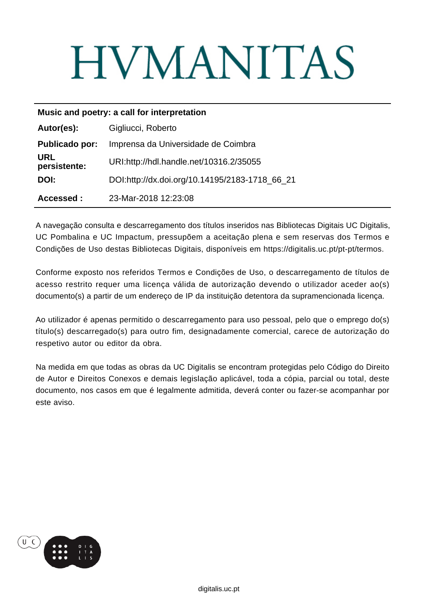# **HVMANITAS**

| Music and poetry: a call for interpretation |                                                |
|---------------------------------------------|------------------------------------------------|
| Autor(es):                                  | Gigliucci, Roberto                             |
| <b>Publicado por:</b>                       | Imprensa da Universidade de Coimbra            |
| <b>URL</b><br>persistente:                  | URI:http://hdl.handle.net/10316.2/35055        |
| DOI:                                        | DOI:http://dx.doi.org/10.14195/2183-1718 66 21 |
| Accessed:                                   | 23-Mar-2018 12:23:08                           |

A navegação consulta e descarregamento dos títulos inseridos nas Bibliotecas Digitais UC Digitalis, UC Pombalina e UC Impactum, pressupõem a aceitação plena e sem reservas dos Termos e Condições de Uso destas Bibliotecas Digitais, disponíveis em https://digitalis.uc.pt/pt-pt/termos.

Conforme exposto nos referidos Termos e Condições de Uso, o descarregamento de títulos de acesso restrito requer uma licença válida de autorização devendo o utilizador aceder ao(s) documento(s) a partir de um endereço de IP da instituição detentora da supramencionada licença.

Ao utilizador é apenas permitido o descarregamento para uso pessoal, pelo que o emprego do(s) título(s) descarregado(s) para outro fim, designadamente comercial, carece de autorização do respetivo autor ou editor da obra.

Na medida em que todas as obras da UC Digitalis se encontram protegidas pelo Código do Direito de Autor e Direitos Conexos e demais legislação aplicável, toda a cópia, parcial ou total, deste documento, nos casos em que é legalmente admitida, deverá conter ou fazer-se acompanhar por este aviso.

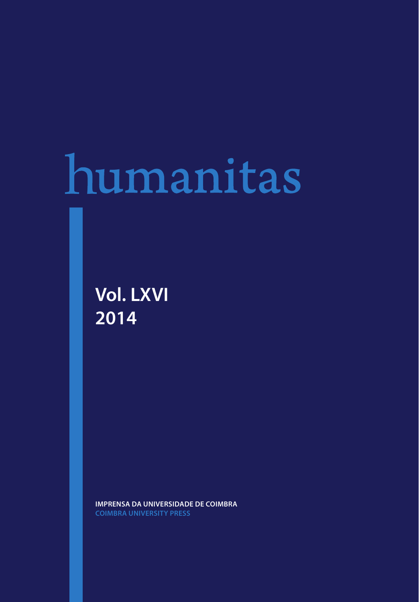## humanitas

**Vol. LXVI 2014**

**IMPRENSA DA UNIVERSIDADE DE COIMBRA**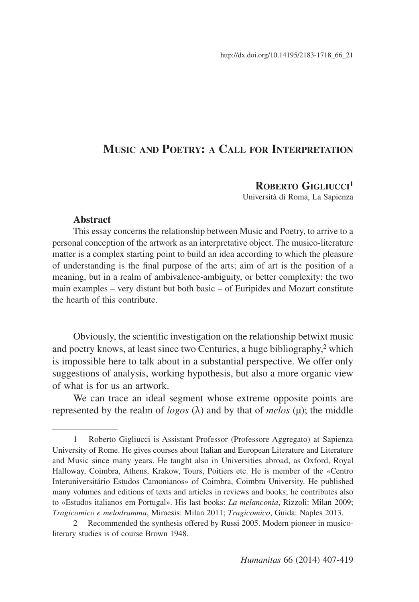## **Music and Poetry: a Call for Interpretation**

### **Roberto Gigliucci1**

Università di Roma, La Sapienza

### **Abstract**

This essay concerns the relationship between Music and Poetry, to arrive to a personal conception of the artwork as an interpretative object. The musico-literature matter is a complex starting point to build an idea according to which the pleasure of understanding is the final purpose of the arts; aim of art is the position of a meaning, but in a realm of ambivalence-ambiguity, or better complexity: the two main examples – very distant but both basic – of Euripides and Mozart constitute the hearth of this contribute.

Obviously, the scientific investigation on the relationship betwixt music and poetry knows, at least since two Centuries, a huge bibliography,<sup>2</sup> which is impossible here to talk about in a substantial perspective. We offer only suggestions of analysis, working hypothesis, but also a more organic view of what is for us an artwork.

We can trace an ideal segment whose extreme opposite points are represented by the realm of *logos* (λ) and by that of *melos* (μ); the middle

<sup>1</sup> Roberto Gigliucci is Assistant Professor (Professore Aggregato) at Sapienza University of Rome. He gives courses about Italian and European Literature and Literature and Music since many years. He taught also in Universities abroad, as Oxford, Royal Halloway, Coimbra, Athens, Krakow, Tours, Poitiers etc. He is member of the «Centro Interuniversitário Estudos Camonianos» of Coimbra, Coimbra University. He published many volumes and editions of texts and articles in reviews and books; he contributes also to «Estudos italianos em Portugal». His last books: *La melanconia*, Rizzoli: Milan 2009; *Tragicomico e melodramma*, Mimesis: Milan 2011; *Tragicomico*, Guida: Naples 2013.

<sup>2</sup> Recommended the synthesis offered by Russi 2005. Modern pioneer in musicoliterary studies is of course Brown 1948.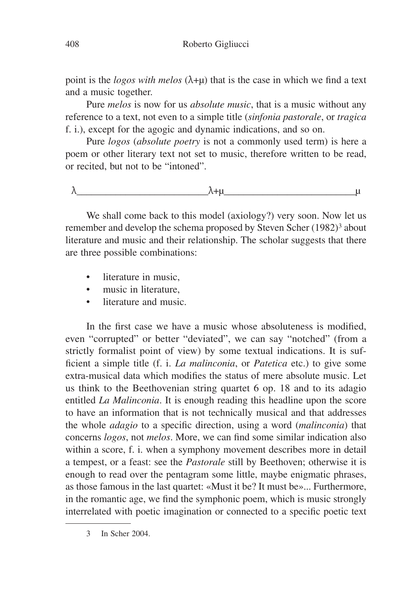point is the *logos with melos*  $(\lambda + \mu)$  that is the case in which we find a text and a music together.

Pure *melos* is now for us *absolute music*, that is a music without any reference to a text, not even to a simple title (*sinfonia pastorale*, or *tragica* f. i.), except for the agogic and dynamic indications, and so on.

Pure *logos* (*absolute poetry* is not a commonly used term) is here a poem or other literary text not set to music, therefore written to be read, or recited, but not to be "intoned".

λ\_\_\_\_\_\_\_\_\_\_\_\_\_\_\_\_\_\_\_\_\_\_\_\_\_\_\_λ+μ\_\_\_\_\_\_\_\_\_\_\_\_\_\_\_\_\_\_\_\_\_\_\_\_\_\_\_μ

We shall come back to this model (axiology?) very soon. Now let us remember and develop the schema proposed by Steven Scher (1982)<sup>3</sup> about literature and music and their relationship. The scholar suggests that there are three possible combinations:

- literature in music,
- music in literature.
- literature and music.

In the first case we have a music whose absoluteness is modified, even "corrupted" or better "deviated", we can say "notched" (from a strictly formalist point of view) by some textual indications. It is sufficient a simple title (f. i. *La malinconia*, or *Patetica* etc.) to give some extra-musical data which modifies the status of mere absolute music. Let us think to the Beethovenian string quartet 6 op. 18 and to its adagio entitled *La Malinconia*. It is enough reading this headline upon the score to have an information that is not technically musical and that addresses the whole *adagio* to a specific direction, using a word (*malinconia*) that concerns *logos*, not *melos*. More, we can find some similar indication also within a score, f. i. when a symphony movement describes more in detail a tempest, or a feast: see the *Pastorale* still by Beethoven; otherwise it is enough to read over the pentagram some little, maybe enigmatic phrases, as those famous in the last quartet: «Must it be? It must be»... Furthermore, in the romantic age, we find the symphonic poem, which is music strongly interrelated with poetic imagination or connected to a specific poetic text

3 In Scher 2004.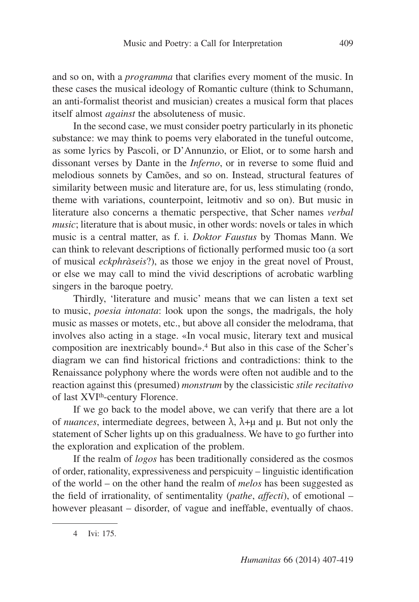and so on, with a *programma* that clarifies every moment of the music. In these cases the musical ideology of Romantic culture (think to Schumann, an anti-formalist theorist and musician) creates a musical form that places itself almost *against* the absoluteness of music.

In the second case, we must consider poetry particularly in its phonetic substance: we may think to poems very elaborated in the tuneful outcome, as some lyrics by Pascoli, or D'Annunzio, or Eliot, or to some harsh and dissonant verses by Dante in the *Inferno*, or in reverse to some fluid and melodious sonnets by Camões, and so on. Instead, structural features of similarity between music and literature are, for us, less stimulating (rondo, theme with variations, counterpoint, leitmotiv and so on). But music in literature also concerns a thematic perspective, that Scher names *verbal music*; literature that is about music, in other words: novels or tales in which music is a central matter, as f. i. *Doktor Faustus* by Thomas Mann. We can think to relevant descriptions of fictionally performed music too (a sort of musical *eckphràseis*?), as those we enjoy in the great novel of Proust, or else we may call to mind the vivid descriptions of acrobatic warbling singers in the baroque poetry.

Thirdly, 'literature and music' means that we can listen a text set to music, *poesia intonata*: look upon the songs, the madrigals, the holy music as masses or motets, etc., but above all consider the melodrama, that involves also acting in a stage. «In vocal music, literary text and musical composition are inextricably bound».4 But also in this case of the Scher's diagram we can find historical frictions and contradictions: think to the Renaissance polyphony where the words were often not audible and to the reaction against this (presumed) *monstrum* by the classicistic *stile recitativo* of last XVI<sup>th</sup>-century Florence.

If we go back to the model above, we can verify that there are a lot of *nuances*, intermediate degrees, between λ, λ+μ and μ. But not only the statement of Scher lights up on this gradualness. We have to go further into the exploration and explication of the problem.

If the realm of *logos* has been traditionally considered as the cosmos of order, rationality, expressiveness and perspicuity – linguistic identification of the world – on the other hand the realm of *melos* has been suggested as the field of irrationality, of sentimentality (*pathe*, *affecti*), of emotional – however pleasant – disorder, of vague and ineffable, eventually of chaos.

<sup>4</sup> Ivi: 175.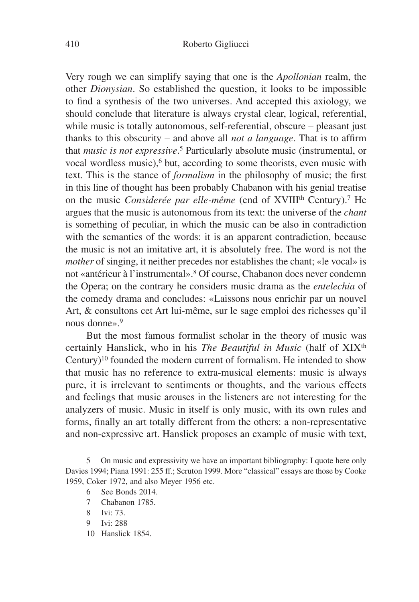Very rough we can simplify saying that one is the *Apollonian* realm, the other *Dionysian*. So established the question, it looks to be impossible to find a synthesis of the two universes. And accepted this axiology, we should conclude that literature is always crystal clear, logical, referential, while music is totally autonomous, self-referential, obscure – pleasant just thanks to this obscurity – and above all *not a language*. That is to affirm that *music is not expressive*. 5 Particularly absolute music (instrumental, or vocal wordless music),<sup>6</sup> but, according to some theorists, even music with text. This is the stance of *formalism* in the philosophy of music; the first in this line of thought has been probably Chabanon with his genial treatise on the music *Considerée par elle-même* (end of XVIII<sup>th</sup> Century).<sup>7</sup> He argues that the music is autonomous from its text: the universe of the *chant* is something of peculiar, in which the music can be also in contradiction with the semantics of the words: it is an apparent contradiction, because the music is not an imitative art, it is absolutely free. The word is not the *mother* of singing, it neither precedes nor establishes the chant; «le vocal» is not «antérieur à l'instrumental».8 Of course, Chabanon does never condemn the Opera; on the contrary he considers music drama as the *entelechia* of the comedy drama and concludes: «Laissons nous enrichir par un nouvel Art, & consultons cet Art lui-même, sur le sage emploi des richesses qu'il nous donne».<sup>9</sup>

But the most famous formalist scholar in the theory of music was certainly Hanslick, who in his *The Beautiful in Music* (half of XIX<sup>th</sup> Century)<sup>10</sup> founded the modern current of formalism. He intended to show that music has no reference to extra-musical elements: music is always pure, it is irrelevant to sentiments or thoughts, and the various effects and feelings that music arouses in the listeners are not interesting for the analyzers of music. Music in itself is only music, with its own rules and forms, finally an art totally different from the others: a non-representative and non-expressive art. Hanslick proposes an example of music with text,

10 Hanslick 1854.

<sup>5</sup> On music and expressivity we have an important bibliography: I quote here only Davies 1994; Piana 1991: 255 ff.; Scruton 1999. More "classical" essays are those by Cooke 1959, Coker 1972, and also Meyer 1956 etc.

<sup>6</sup> See Bonds 2014.

<sup>7</sup> Chabanon 1785.

<sup>8</sup> Ivi: 73.

<sup>9</sup> Ivi: 288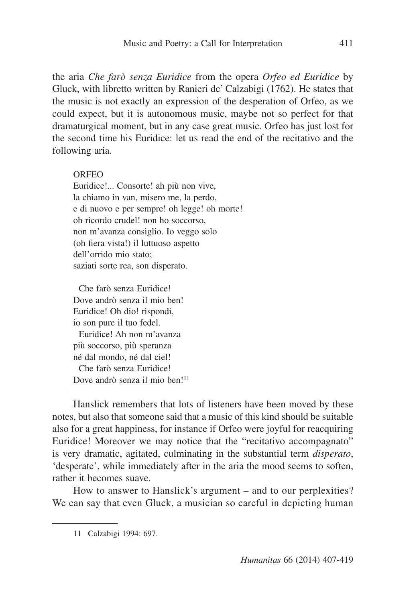the aria *Che farò senza Euridice* from the opera *Orfeo ed Euridice* by Gluck, with libretto written by Ranieri de' Calzabigi (1762). He states that the music is not exactly an expression of the desperation of Orfeo, as we could expect, but it is autonomous music, maybe not so perfect for that dramaturgical moment, but in any case great music. Orfeo has just lost for the second time his Euridice: let us read the end of the recitativo and the following aria.

### ORFEO

Euridice!... Consorte! ah più non vive, la chiamo in van, misero me, la perdo, e di nuovo e per sempre! oh legge! oh morte! oh ricordo crudel! non ho soccorso, non m'avanza consiglio. Io veggo solo (oh fiera vista!) il luttuoso aspetto dell'orrido mio stato; saziati sorte rea, son disperato.

 Che farò senza Euridice! Dove andrò senza il mio ben! Euridice! Oh dio! rispondi, io son pure il tuo fedel. Euridice! Ah non m'avanza più soccorso, più speranza né dal mondo, né dal ciel! Che farò senza Euridice! Dove andrò senza il mio ben!<sup>11</sup>

Hanslick remembers that lots of listeners have been moved by these notes, but also that someone said that a music of this kind should be suitable also for a great happiness, for instance if Orfeo were joyful for reacquiring Euridice! Moreover we may notice that the "recitativo accompagnato" is very dramatic, agitated, culminating in the substantial term *disperato*, 'desperate', while immediately after in the aria the mood seems to soften, rather it becomes suave.

How to answer to Hanslick's argument – and to our perplexities? We can say that even Gluck, a musician so careful in depicting human

<sup>11</sup> Calzabigi 1994: 697.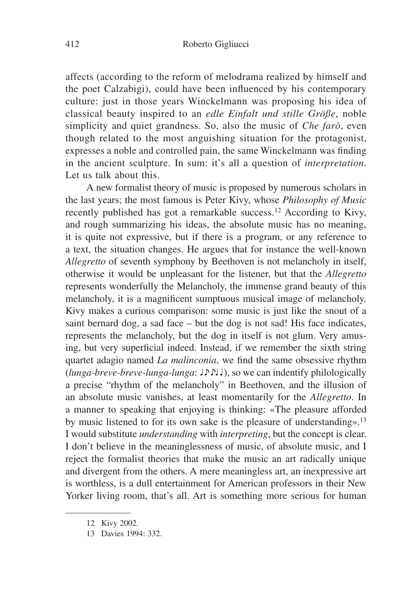affects (according to the reform of melodrama realized by himself and the poet Calzabigi), could have been influenced by his contemporary culture: just in those years Winckelmann was proposing his idea of classical beauty inspired to an *edle Einfalt und stille Größe*, noble simplicity and quiet grandness. So, also the music of *Che farò*, even though related to the most anguishing situation for the protagonist, expresses a noble and controlled pain, the same Winckelmann was finding in the ancient sculpture. In sum: it's all a question of *interpretation*. Let us talk about this.

A new formalist theory of music is proposed by numerous scholars in the last years; the most famous is Peter Kivy, whose *Philosophy of Music* recently published has got a remarkable success.12 According to Kivy, and rough summarizing his ideas, the absolute music has no meaning, it is quite not expressive, but if there is a program, or any reference to a text, the situation changes. He argues that for instance the well-known *Allegretto* of seventh symphony by Beethoven is not melancholy in itself, otherwise it would be unpleasant for the listener, but that the *Allegretto* represents wonderfully the Melancholy, the immense grand beauty of this melancholy, it is a magnificent sumptuous musical image of melancholy. Kivy makes a curious comparison: some music is just like the snout of a saint bernard dog, a sad face – but the dog is not sad! His face indicates, represents the melancholy, but the dog in itself is not glum. Very amusing, but very superficial indeed. Instead, if we remember the sixth string quartet adagio named *La malinconia*, we find the same obsessive rhythm (*lunga-breve-breve-lunga-lunga*: ♩♪♪♩♩), so we can indentify philologically a precise "rhythm of the melancholy" in Beethoven, and the illusion of an absolute music vanishes, at least momentarily for the *Allegretto*. In a manner to speaking that enjoying is thinking: «The pleasure afforded by music listened to for its own sake is the pleasure of understanding».13 I would substitute *understanding* with *interpreting*, but the concept is clear. I don't believe in the meaninglessness of music, of absolute music, and I reject the formalist theories that make the music an art radically unique and divergent from the others. A mere meaningless art, an inexpressive art is worthless, is a dull entertainment for American professors in their New Yorker living room, that's all. Art is something more serious for human

<sup>12</sup> Kivy 2002.

<sup>13</sup> Davies 1994: 332.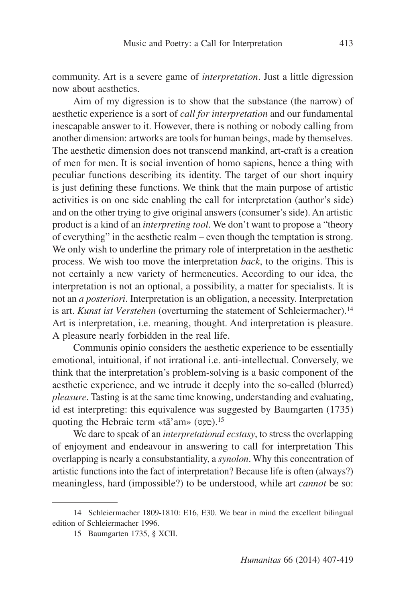community. Art is a severe game of *interpretation*. Just a little digression now about aesthetics.

Aim of my digression is to show that the substance (the narrow) of aesthetic experience is a sort of *call for interpretation* and our fundamental inescapable answer to it. However, there is nothing or nobody calling from another dimension: artworks are tools for human beings, made by themselves. The aesthetic dimension does not transcend mankind, art-craft is a creation of men for men. It is social invention of homo sapiens, hence a thing with peculiar functions describing its identity. The target of our short inquiry is just defining these functions. We think that the main purpose of artistic activities is on one side enabling the call for interpretation (author's side) and on the other trying to give original answers (consumer's side). An artistic product is a kind of an *interpreting tool*. We don't want to propose a "theory of everything" in the aesthetic realm – even though the temptation is strong. We only wish to underline the primary role of interpretation in the aesthetic process. We wish too move the interpretation *back*, to the origins. This is not certainly a new variety of hermeneutics. According to our idea, the interpretation is not an optional, a possibility, a matter for specialists. It is not an *a posteriori*. Interpretation is an obligation, a necessity. Interpretation is art. *Kunst ist Verstehen* (overturning the statement of Schleiermacher).<sup>14</sup> Art is interpretation, i.e. meaning, thought. And interpretation is pleasure. A pleasure nearly forbidden in the real life.

Communis opinio considers the aesthetic experience to be essentially emotional, intuitional, if not irrational i.e. anti-intellectual. Conversely, we think that the interpretation's problem-solving is a basic component of the aesthetic experience, and we intrude it deeply into the so-called (blurred) *pleasure*. Tasting is at the same time knowing, understanding and evaluating, id est interpreting: this equivalence was suggested by Baumgarten (1735) quoting the Hebraic term «tā'am» (סעט).<sup>15</sup>

We dare to speak of an *interpretational ecstasy*, to stress the overlapping of enjoyment and endeavour in answering to call for interpretation This overlapping is nearly a consubstantiality, a *synolon*. Why this concentration of artistic functions into the fact of interpretation? Because life is often (always?) meaningless, hard (impossible?) to be understood, while art *cannot* be so:

<sup>14</sup> Schleiermacher 1809-1810: E16, E30. We bear in mind the excellent bilingual edition of Schleiermacher 1996.

<sup>15</sup> Baumgarten 1735, § XCII.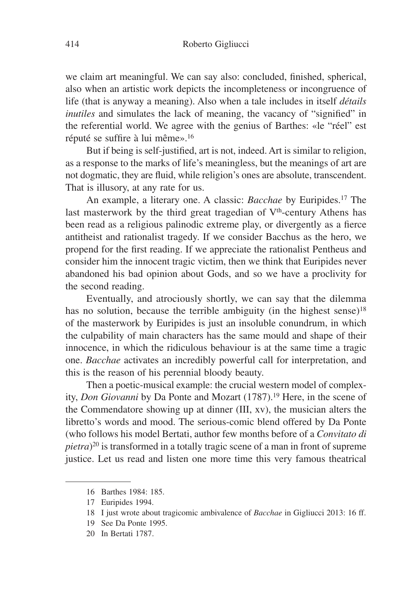we claim art meaningful. We can say also: concluded, finished, spherical, also when an artistic work depicts the incompleteness or incongruence of life (that is anyway a meaning). Also when a tale includes in itself *détails inutiles* and simulates the lack of meaning, the vacancy of "signified" in the referential world. We agree with the genius of Barthes: «le "réel" est réputé se suffire à lui même».<sup>16</sup>

But if being is self-justified, art is not, indeed. Art is similar to religion, as a response to the marks of life's meaningless, but the meanings of art are not dogmatic, they are fluid, while religion's ones are absolute, transcendent. That is illusory, at any rate for us.

An example, a literary one. A classic: *Bacchae* by Euripides.17 The last masterwork by the third great tragedian of  $V<sup>th</sup>$ -century Athens has been read as a religious palinodic extreme play, or divergently as a fierce antitheist and rationalist tragedy. If we consider Bacchus as the hero, we propend for the first reading. If we appreciate the rationalist Pentheus and consider him the innocent tragic victim, then we think that Euripides never abandoned his bad opinion about Gods, and so we have a proclivity for the second reading.

Eventually, and atrociously shortly, we can say that the dilemma has no solution, because the terrible ambiguity (in the highest sense)<sup>18</sup> of the masterwork by Euripides is just an insoluble conundrum, in which the culpability of main characters has the same mould and shape of their innocence, in which the ridiculous behaviour is at the same time a tragic one. *Bacchae* activates an incredibly powerful call for interpretation, and this is the reason of his perennial bloody beauty.

Then a poetic-musical example: the crucial western model of complexity, *Don Giovanni* by Da Ponte and Mozart (1787).19 Here, in the scene of the Commendatore showing up at dinner (III, xv), the musician alters the libretto's words and mood. The serious-comic blend offered by Da Ponte (who follows his model Bertati, author few months before of a *Convitato di pietra*)<sup>20</sup> is transformed in a totally tragic scene of a man in front of supreme justice. Let us read and listen one more time this very famous theatrical

<sup>16</sup> Barthes 1984: 185.

<sup>17</sup> Euripides 1994.

<sup>18</sup> I just wrote about tragicomic ambivalence of *Bacchae* in Gigliucci 2013: 16 ff.

<sup>19</sup> See Da Ponte 1995.

<sup>20</sup> In Bertati 1787.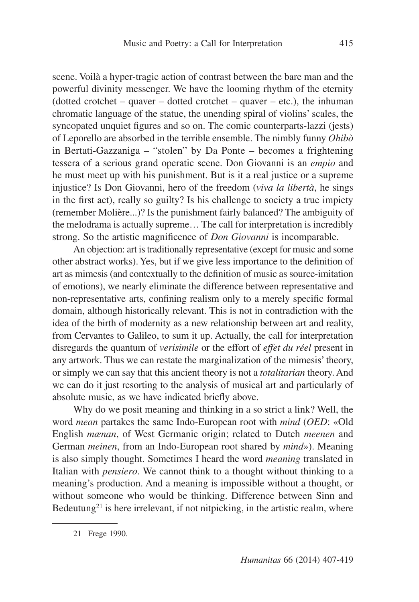scene. Voilà a hyper-tragic action of contrast between the bare man and the powerful divinity messenger. We have the looming rhythm of the eternity (dotted crotchet – quaver – dotted crotchet – quaver – etc.), the inhuman chromatic language of the statue, the unending spiral of violins' scales, the syncopated unquiet figures and so on. The comic counterparts-lazzi (jests) of Leporello are absorbed in the terrible ensemble. The nimbly funny *Ohibò* in Bertati-Gazzaniga – "stolen" by Da Ponte – becomes a frightening tessera of a serious grand operatic scene. Don Giovanni is an *empio* and he must meet up with his punishment. But is it a real justice or a supreme injustice? Is Don Giovanni, hero of the freedom (*viva la libertà*, he sings in the first act), really so guilty? Is his challenge to society a true impiety (remember Molière...)? Is the punishment fairly balanced? The ambiguity of the melodrama is actually supreme… The call for interpretation is incredibly strong. So the artistic magnificence of *Don Giovanni* is incomparable.

An objection: art is traditionally representative (except for music and some other abstract works). Yes, but if we give less importance to the definition of art as mimesis (and contextually to the definition of music as source-imitation of emotions), we nearly eliminate the difference between representative and non-representative arts, confining realism only to a merely specific formal domain, although historically relevant. This is not in contradiction with the idea of the birth of modernity as a new relationship between art and reality, from Cervantes to Galileo, to sum it up. Actually, the call for interpretation disregards the quantum of *verisimile* or the effort of *effet du réel* present in any artwork. Thus we can restate the marginalization of the mimesis' theory, or simply we can say that this ancient theory is not a *totalitarian* theory. And we can do it just resorting to the analysis of musical art and particularly of absolute music, as we have indicated briefly above.

Why do we posit meaning and thinking in a so strict a link? Well, the word *mean* partakes the same Indo-European root with *mind* (*OED*: «Old English *mænan*, of West Germanic origin; related to Dutch *meenen* and German *meinen*, from an Indo-European root shared by *mind*»). Meaning is also simply thought. Sometimes I heard the word *meaning* translated in Italian with *pensiero*. We cannot think to a thought without thinking to a meaning's production. And a meaning is impossible without a thought, or without someone who would be thinking. Difference between Sinn and Bedeutung<sup>21</sup> is here irrelevant, if not nitpicking, in the artistic realm, where

<sup>21</sup> Frege 1990.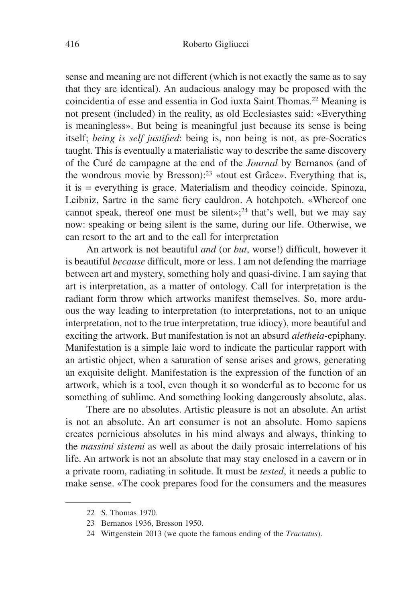sense and meaning are not different (which is not exactly the same as to say that they are identical). An audacious analogy may be proposed with the coincidentia of esse and essentia in God iuxta Saint Thomas.22 Meaning is not present (included) in the reality, as old Ecclesiastes said: «Everything is meaningless». But being is meaningful just because its sense is being itself; *being is self justified*: being is, non being is not, as pre-Socratics taught. This is eventually a materialistic way to describe the same discovery of the Curé de campagne at the end of the *Journal* by Bernanos (and of the wondrous movie by Bresson):23 «tout est Grâce». Everything that is, it is = everything is grace. Materialism and theodicy coincide. Spinoza, Leibniz, Sartre in the same fiery cauldron. A hotchpotch. «Whereof one cannot speak, thereof one must be silent»;<sup>24</sup> that's well, but we may say now: speaking or being silent is the same, during our life. Otherwise, we can resort to the art and to the call for interpretation

An artwork is not beautiful *and* (or *but*, worse!) difficult, however it is beautiful *because* difficult, more or less. I am not defending the marriage between art and mystery, something holy and quasi-divine. I am saying that art is interpretation, as a matter of ontology. Call for interpretation is the radiant form throw which artworks manifest themselves. So, more arduous the way leading to interpretation (to interpretations, not to an unique interpretation, not to the true interpretation, true idiocy), more beautiful and exciting the artwork. But manifestation is not an absurd *aletheia*-epiphany. Manifestation is a simple laic word to indicate the particular rapport with an artistic object, when a saturation of sense arises and grows, generating an exquisite delight. Manifestation is the expression of the function of an artwork, which is a tool, even though it so wonderful as to become for us something of sublime. And something looking dangerously absolute, alas.

There are no absolutes. Artistic pleasure is not an absolute. An artist is not an absolute. An art consumer is not an absolute. Homo sapiens creates pernicious absolutes in his mind always and always, thinking to the *massimi sistemi* as well as about the daily prosaic interrelations of his life. An artwork is not an absolute that may stay enclosed in a cavern or in a private room, radiating in solitude. It must be *tested*, it needs a public to make sense. «The cook prepares food for the consumers and the measures

<sup>22</sup> S. Thomas 1970.

<sup>23</sup> Bernanos 1936, Bresson 1950.

<sup>24</sup> Wittgenstein 2013 (we quote the famous ending of the *Tractatus*).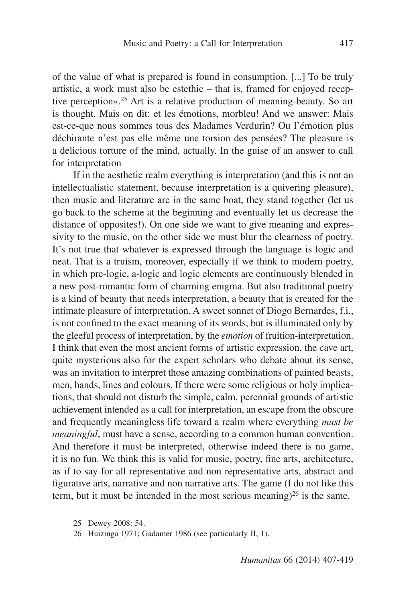of the value of what is prepared is found in consumption. [...] To be truly artistic, a work must also be estethic  $-$  that is, framed for enjoyed receptive perception».25 Art is a relative production of meaning-beauty. So art is thought. Mais on dit: et les émotions, morbleu! And we answer: Mais est-ce-que nous sommes tous des Madames Verdurin? Ou l'émotion plus déchirante n'est pas elle même une torsion des pensées? The pleasure is a delicious torture of the mind, actually. In the guise of an answer to call for interpretation

If in the aesthetic realm everything is interpretation (and this is not an intellectualistic statement, because interpretation is a quivering pleasure), then music and literature are in the same boat, they stand together (let us go back to the scheme at the beginning and eventually let us decrease the distance of opposites!). On one side we want to give meaning and expressivity to the music, on the other side we must blur the clearness of poetry. It's not true that whatever is expressed through the language is logic and neat. That is a truism, moreover, especially if we think to modern poetry, in which pre-logic, a-logic and logic elements are continuously blended in a new post-romantic form of charming enigma. But also traditional poetry is a kind of beauty that needs interpretation, a beauty that is created for the intimate pleasure of interpretation. A sweet sonnet of Diogo Bernardes, f.i., is not confined to the exact meaning of its words, but is illuminated only by the gleeful process of interpretation, by the *emotion* of fruition-interpretation. I think that even the most ancient forms of artistic expression, the cave art, quite mysterious also for the expert scholars who debate about its sense, was an invitation to interpret those amazing combinations of painted beasts, men, hands, lines and colours. If there were some religious or holy implications, that should not disturb the simple, calm, perennial grounds of artistic achievement intended as a call for interpretation, an escape from the obscure and frequently meaningless life toward a realm where everything *must be meaningful*, must have a sense, according to a common human convention. And therefore it must be interpreted, otherwise indeed there is no game, it is no fun. We think this is valid for music, poetry, fine arts, architecture, as if to say for all representative and non representative arts, abstract and figurative arts, narrative and non narrative arts. The game (I do not like this term, but it must be intended in the most serious meaning)<sup>26</sup> is the same.

<sup>25</sup> Dewey 2008: 54.

<sup>26</sup> Huizinga 1971; Gadamer 1986 (see particularly II, 1).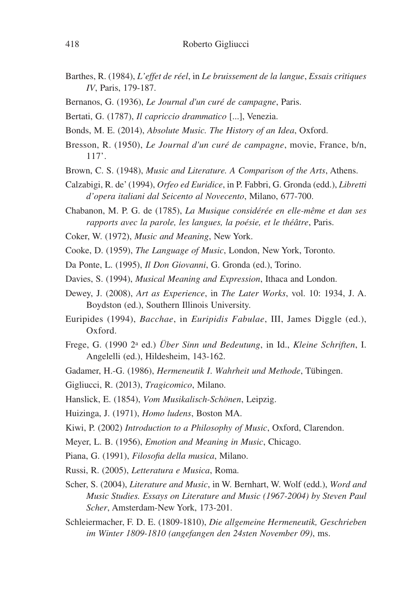- Barthes, R. (1984), *L'effet de réel*, in *Le bruissement de la langue*, *Essais critiques IV*, Paris, 179-187.
- Bernanos, G. (1936), *Le Journal d'un curé de campagne*, Paris.
- Bertati, G. (1787), *Il capriccio drammatico* [...], Venezia.
- Bonds, M. E. (2014), *Absolute Music. The History of an Idea*, Oxford.
- Bresson, R. (1950), *Le Journal d'un curé de campagne*, movie, France, b/n, 117'.
- Brown, C. S. (1948), *Music and Literature. A Comparison of the Arts*, Athens.
- Calzabigi, R. de' (1994), *Orfeo ed Euridice*, in P. Fabbri, G. Gronda (edd.), *Libretti d'opera italiani dal Seicento al Novecento*, Milano, 677-700.
- Chabanon, M. P. G. de (1785), *La Musique considérée en elle-même et dan ses rapports avec la parole, les langues, la poésie, et le théâtre*, Paris.
- Coker, W. (1972), *Music and Meaning*, New York.
- Cooke, D. (1959), *The Language of Music*, London, New York, Toronto.
- Da Ponte, L. (1995), *Il Don Giovanni*, G. Gronda (ed.), Torino.
- Davies, S. (1994), *Musical Meaning and Expression*, Ithaca and London.
- Dewey, J. (2008), *Art as Experience*, in *The Later Works*, vol. 10: 1934, J. A. Boydston (ed.), Southern Illinois University.
- Euripides (1994), *Bacchae*, in *Euripidis Fabulae*, III, James Diggle (ed.), Oxford.
- Frege, G. (1990 2a ed.) *Über Sinn und Bedeutung*, in Id., *Kleine Schriften*, I. Angelelli (ed.), Hildesheim, 143-162.
- Gadamer, H.-G. (1986), *Hermeneutik I*. *Wahrheit und Methode*, Tübingen.
- Gigliucci, R. (2013), *Tragicomico*, Milano.
- Hanslick, E. (1854), *Vom Musikalisch-Schönen*, Leipzig.
- Huizinga, J. (1971), *Homo ludens*, Boston MA.
- Kiwi, P. (2002) *Introduction to a Philosophy of Music*, Oxford, Clarendon.
- Meyer, L. B. (1956), *Emotion and Meaning in Music*, Chicago.
- Piana, G. (1991), *Filosofia della musica*, Milano.
- Russi, R. (2005), *Letteratura e Musica*, Roma.
- Scher, S. (2004), *Literature and Music*, in W. Bernhart, W. Wolf (edd.), *Word and Music Studies. Essays on Literature and Music (1967-2004) by Steven Paul Scher*, Amsterdam-New York, 173-201.
- Schleiermacher, F. D. E. (1809-1810), *Die allgemeine Hermeneutik, Geschrieben im Winter 1809-1810 (angefangen den 24sten November 09)*, ms.